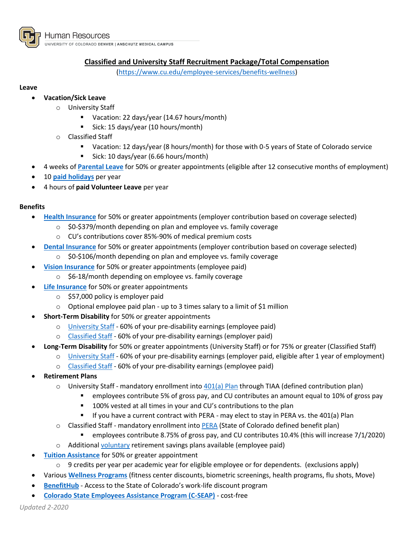

UNIVERSITY OF COLORADO DENVER | ANSCHUTZ MEDICAL CAMPUS

# **Classified and University Staff Recruitment Package/Total Compensation**

[\(https://www.cu.edu/employee-services/benefits-wellness\)](https://www.cu.edu/employee-services/benefits-wellness)

### **Leave**

# **Vacation/Sick Leave**

- o University Staff
	- Vacation: 22 days/year (14.67 hours/month)
	- Sick: 15 days/year (10 hours/month)
- o Classified Staff
	- Vacation: 12 days/year (8 hours/month) for those with 0-5 years of State of Colorado service
	- Sick: 10 days/year (6.66 hours/month)
- 4 weeks of **[Parental Leave](http://www.ucdenver.edu/faculty_staff/employees/policies/Policies%20Library/4XXX%20Human%20Resources/4001%20-%20Parental%20Leave%20for%20Twelve-Month%20Faculty%20and%20University%20Staff.pdf)** for 50% or greater appointments (eligible after 12 consecutive months of employment)
- 10 **[paid holidays](http://www.ucdenver.edu/about/departments/HR/Documents/Holiday%20Schedule%20Denver%20Anschutz%20FY%2019-21.pdf)** per year
- 4 hours of **paid Volunteer Leave** per year

# **Benefits**

- **[Health Insurance](https://www.cu.edu/employee-services/benefits-wellness/new-employee/medical-plans)** for 50% or greater appointments (employer contribution based on coverage selected)
	- o \$0-\$379/month depending on plan and employee vs. family coverage
	- o CU's contributions cover 85%-90% of medical premium costs
- **[Dental Insurance](https://www.cu.edu/employee-services/benefits-wellness/new-employee/dental-plans)** for 50% or greater appointments (employer contribution based on coverage selected)
	- o \$0-\$106/month depending on plan and employee vs. family coverage
- **[Vision Insurance](https://www.cu.edu/employee-services/benefits-wellness/new-employee/vision-plan)** for 50% or greater appointments (employee paid)
	- \$6-18/month depending on employee vs. family coverage
- **[Life Insurance](https://www.cu.edu/employee-services/benefits-wellness/new-employee/life-insurance)** for 50% or greater appointments
	- $\circ$  \$57,000 policy is employer paid
	- $\circ$  Optional employee paid plan up to 3 times salary to a limit of \$1 million
- **Short-Term Disability** for 50% or greater appointments
	- o [University Staff](https://www.cu.edu/employee-services/benefits-wellness/new-employee/disability-insurance/faculty-and-university-staff) 60% of your pre-disability earnings (employee paid)
	- o [Classified Staff](https://www.cu.edu/employee-services/benefits-wellness/new-employee/disability-insurance/classified-staff) 60% of your pre-disability earnings (employer paid)
- **Long-Term Disability** for 50% or greater appointments (University Staff) or for 75% or greater (Classified Staff)
	- o [University Staff](https://www.cu.edu/employee-services/benefits-wellness/new-employee/disability-insurance/faculty-and-university-staff) 60% of your pre-disability earnings (employer paid, eligible after 1 year of employment)
	- o [Classified Staff](https://www.cu.edu/employee-services/benefits-wellness/new-employee/disability-insurance/classified-staff) 60% of your pre-disability earnings (employee paid)
- **Retirement Plans**
	- $\circ$  University Staff mandatory enrollment int[o 401\(a\)](https://www.cu.edu/employee-services/benefits-wellness/current-employee/retirement-plans/cus-401a-retirement-plan) Plan through TIAA (defined contribution plan)
		- employees contribute 5% of gross pay, and CU contributes an amount equal to 10% of gross pay
		- **100% vested at all times in your and CU's contributions to the plan**
		- If you have a current contract with PERA may elect to stay in PERA vs. the 401(a) Plan
	- o Classified Staff mandatory enrollment into [PERA](https://www.cu.edu/employee-services/benefits-wellness/current-employee/retirement-plans/pera-retirement-plan) (State of Colorado defined benefit plan)
		- employees contribute 8.75% of gross pay, and CU contributes 10.4% (this will increase 7/1/2020)
	- o Additional [voluntary](https://www.cu.edu/employee-services/benefits-wellness/current-employee/retirement-plans/voluntary-retirement-savings) retirement savings plans available (employee paid)
- **[Tuition Assistance](https://www.cu.edu/employee-services/benefits-wellness/current-employee/tuition-assistance)** for 50% or greater appointment
	- $\circ$  9 credits per year per academic year for eligible employee or for dependents. (exclusions apply)
- Various **[Wellness Programs](https://www.becolorado.org/program/)** (fitness center discounts, biometric screenings, health programs, flu shots, Move)
- **[BenefitHub](https://stateofcolorado.benefithub.com/)** Access to the State of Colorado's work-life discount program
- **[Colorado State Employees Assistance Program \(C-SEAP\)](https://www.colorado.gov/c-seap)** cost-free